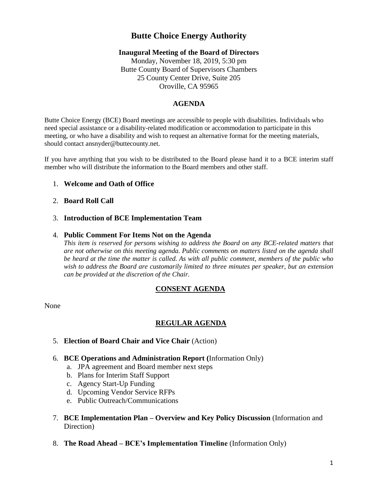# **Butte Choice Energy Authority**

## **Inaugural Meeting of the Board of Directors**

Monday, November 18, 2019, 5:30 pm Butte County Board of Supervisors Chambers 25 County Center Drive, Suite 205 Oroville, CA 95965

# **AGENDA**

Butte Choice Energy (BCE) Board meetings are accessible to people with disabilities. Individuals who need special assistance or a disability-related modification or accommodation to participate in this meeting, or who have a disability and wish to request an alternative format for the meeting materials, should contact ansnyder@buttecounty.net.

If you have anything that you wish to be distributed to the Board please hand it to a BCE interim staff member who will distribute the information to the Board members and other staff.

## 1. **Welcome and Oath of Office**

## 2. **Board Roll Call**

#### 3. **Introduction of BCE Implementation Team**

#### 4. **Public Comment For Items Not on the Agenda**

*This item is reserved for persons wishing to address the Board on any BCE-related matters that are not otherwise on this meeting agenda. Public comments on matters listed on the agenda shall be heard at the time the matter is called. As with all public comment, members of the public who wish to address the Board are customarily limited to three minutes per speaker, but an extension can be provided at the discretion of the Chair.*

# **CONSENT AGENDA**

None

# **REGULAR AGENDA**

- 5. **Election of Board Chair and Vice Chair** (Action)
- 6. **BCE Operations and Administration Report (**Information Only)
	- a. JPA agreement and Board member next steps
	- b. Plans for Interim Staff Support
	- c. Agency Start-Up Funding
	- d. Upcoming Vendor Service RFPs
	- e. Public Outreach/Communications
- 7. **BCE Implementation Plan – Overview and Key Policy Discussion** (Information and Direction)
- 8. **The Road Ahead – BCE's Implementation Timeline** (Information Only)